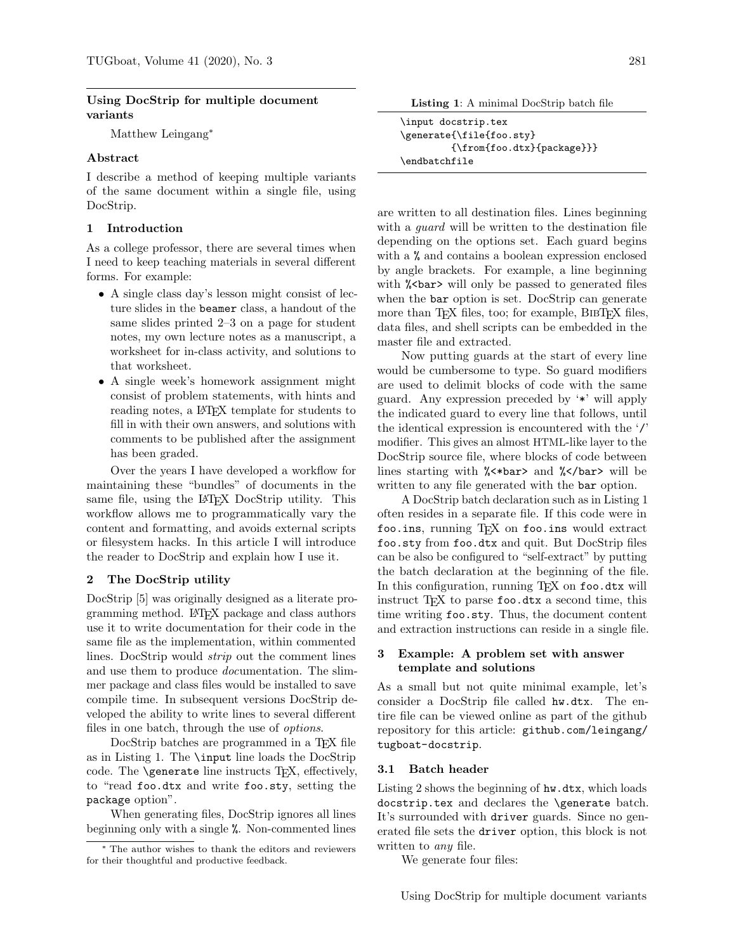#### Using DocStrip for multiple document variants

Matthew Leingang<sup>\*</sup>

### Abstract

I describe a method of keeping multiple variants of the same document within a single file, using DocStrip.

#### 1 Introduction

As a college professor, there are several times when I need to keep teaching materials in several different forms. For example:

- A single class day's lesson might consist of lecture slides in the beamer class, a handout of the same slides printed 2–3 on a page for student notes, my own lecture notes as a manuscript, a worksheet for in-class activity, and solutions to that worksheet.
- A single week's homework assignment might consist of problem statements, with hints and reading notes, a L<sup>AT</sup>FX template for students to fill in with their own answers, and solutions with comments to be published after the assignment has been graded.

Over the years I have developed a workflow for maintaining these "bundles" of documents in the same file, using the L<sup>AT</sup>EX DocStrip utility. This workflow allows me to programmatically vary the content and formatting, and avoids external scripts or filesystem hacks. In this article I will introduce the reader to DocStrip and explain how I use it.

### 2 The DocStrip utility

DocStrip [\[5\]](#page-4-0) was originally designed as a literate programming method. LATEX package and class authors use it to write documentation for their code in the same file as the implementation, within commented lines. DocStrip would strip out the comment lines and use them to produce documentation. The slimmer package and class files would be installed to save compile time. In subsequent versions DocStrip developed the ability to write lines to several different files in one batch, through the use of options.

DocStrip batches are programmed in a T<sub>E</sub>X file as in Listing [1.](#page-0-0) The \input line loads the DocStrip code. The \generate line instructs TEX, effectively, to "read foo.dtx and write foo.sty, setting the package option".

When generating files, DocStrip ignores all lines beginning only with a single %. Non-commented lines

Listing 1: A minimal DocStrip batch file

<span id="page-0-0"></span>

| \input docstrip.tex                         |
|---------------------------------------------|
| \generate{\file{foo.sty}                    |
| $\{\frac{\text{too.txt}}{\text{package}}\}$ |
| \endbatchfile                               |

are written to all destination files. Lines beginning with a *quard* will be written to the destination file depending on the options set. Each guard begins with a % and contains a boolean expression enclosed by angle brackets. For example, a line beginning with **% <br/>bar>** will only be passed to generated files when the **bar** option is set. DocStrip can generate more than T<sub>F</sub>X files, too; for example, BIBT<sub>F</sub>X files, data files, and shell scripts can be embedded in the master file and extracted.

Now putting guards at the start of every line would be cumbersome to type. So guard modifiers are used to delimit blocks of code with the same guard. Any expression preceded by '\*' will apply the indicated guard to every line that follows, until the identical expression is encountered with the '/' modifier. This gives an almost HTML-like layer to the DocStrip source file, where blocks of code between lines starting with %<\*bar> and %</bar> will be written to any file generated with the bar option.

A DocStrip batch declaration such as in Listing [1](#page-0-0) often resides in a separate file. If this code were in foo.ins, running TFX on foo.ins would extract foo.sty from foo.dtx and quit. But DocStrip files can be also be configured to "self-extract" by putting the batch declaration at the beginning of the file. In this configuration, running TEX on foo.dtx will instruct TEX to parse foo.dtx a second time, this time writing foo.sty. Thus, the document content and extraction instructions can reside in a single file.

## <span id="page-0-1"></span>3 Example: A problem set with answer template and solutions

As a small but not quite minimal example, let's consider a DocStrip file called hw.dtx. The entire file can be viewed online as part of the github repository for this article: [github.com/leingang/](github.com/leingang/tugboat-docstrip) [tugboat-docstrip](github.com/leingang/tugboat-docstrip).

#### 3.1 Batch header

Listing [2](#page-1-0) shows the beginning of hw.dtx, which loads docstrip.tex and declares the \generate batch. It's surrounded with driver guards. Since no generated file sets the driver option, this block is not written to *any* file.

We generate four files:

<sup>∗</sup> The author wishes to thank the editors and reviewers for their thoughtful and productive feedback.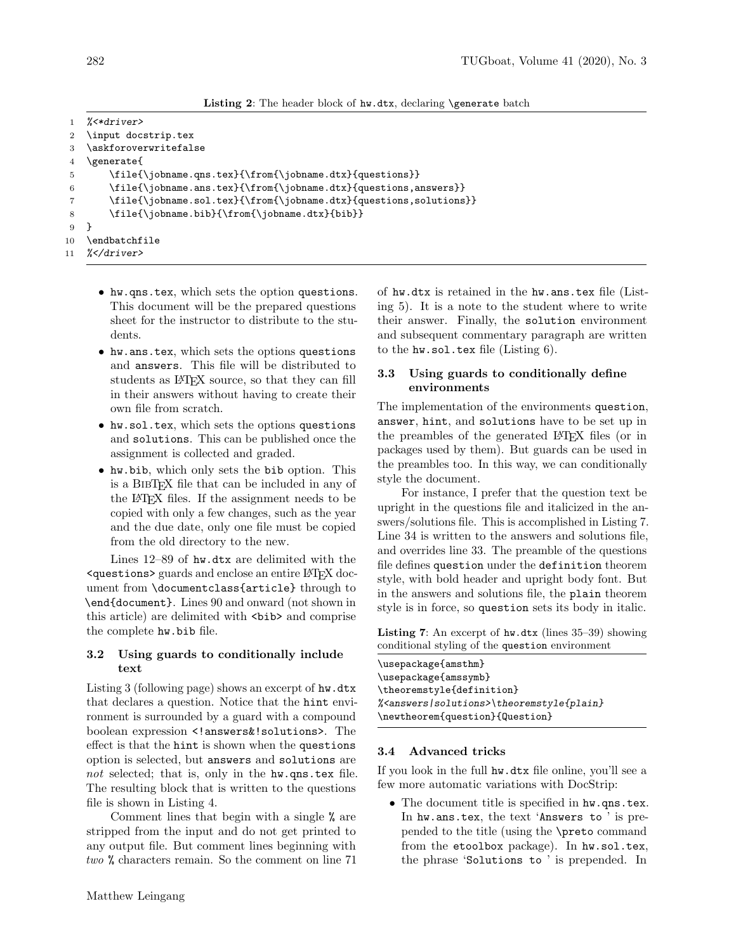| Listing 2: The header block of hw.dtx, declaring \generate batch |  |  |  |  |  |
|------------------------------------------------------------------|--|--|--|--|--|
|------------------------------------------------------------------|--|--|--|--|--|

```
1 %<*driver>
2 \input docstrip.tex
3 \askforoverwritefalse
4 \generate{
5 \file{\jobname.qns.tex}{\from{\jobname.dtx}{questions}}
6 \file{\jobname.ans.tex}{\from{\jobname.dtx}{questions,answers}}
7 \file{\jobname.sol.tex}{\from{\jobname.dtx}{questions,solutions}}
8 \file{\jobname.bib}{\from{\jobname.dtx}{bib}}
9 }
10 \endbatchfile
11 %</driver>
```
- hw.qns.tex, which sets the option questions. This document will be the prepared questions sheet for the instructor to distribute to the students.
- hw.ans.tex, which sets the options questions and answers. This file will be distributed to students as L<sup>AT</sup>FX source, so that they can fill in their answers without having to create their own file from scratch.
- hw.sol.tex, which sets the options questions and solutions. This can be published once the assignment is collected and graded.
- hw.bib, which only sets the bib option. This is a BibTEX file that can be included in any of the LATEX files. If the assignment needs to be copied with only a few changes, such as the year and the due date, only one file must be copied from the old directory to the new.

Lines 12–89 of hw.dtx are delimited with the <questions> guards and enclose an entire LATEX document from \documentclass{article} through to \end{document}. Lines 90 and onward (not shown in this article) are delimited with  $\langle \text{bib} \rangle$  and comprise the complete hw.bib file.

### 3.2 Using guards to conditionally include text

Listing [3](#page-2-0) (following page) shows an excerpt of hw.dtx that declares a question. Notice that the hint environment is surrounded by a guard with a compound boolean expression <!answers&!solutions>. The effect is that the hint is shown when the questions option is selected, but answers and solutions are not selected; that is, only in the hw.qns.tex file. The resulting block that is written to the questions file is shown in Listing [4.](#page-2-1)

Comment lines that begin with a single % are stripped from the input and do not get printed to any output file. But comment lines beginning with two % characters remain. So the comment on line 71 of hw.dtx is retained in the hw.ans.tex file (Listing [5\)](#page-3-0). It is a note to the student where to write their answer. Finally, the solution environment and subsequent commentary paragraph are written to the hw.sol.tex file (Listing [6\)](#page-3-1).

## 3.3 Using guards to conditionally define environments

The implementation of the environments question, answer, hint, and solutions have to be set up in the preambles of the generated LATEX files (or in packages used by them). But guards can be used in the preambles too. In this way, we can conditionally style the document.

For instance, I prefer that the question text be upright in the questions file and italicized in the answers/solutions file. This is accomplished in Listing [7.](#page-1-1) Line 34 is written to the answers and solutions file, and overrides line 33. The preamble of the questions file defines question under the definition theorem style, with bold header and upright body font. But in the answers and solutions file, the plain theorem style is in force, so question sets its body in italic.

<span id="page-1-1"></span>Listing 7: An excerpt of hw.dtx (lines 35–39) showing conditional styling of the question environment

| \usepackage{amsthm}                                    |
|--------------------------------------------------------|
| \usepackage{amssymb}                                   |
| \theoremstyle{definition}                              |
| % <answers solutions="">\theoremstyle{plain}</answers> |
| \newtheorem{question}{Question}                        |

### 3.4 Advanced tricks

If you look in the full hw.dtx file online, you'll see a few more automatic variations with DocStrip:

• The document title is specified in hw.qns.tex. In hw.ans.tex, the text 'Answers to ' is prepended to the title (using the \preto command from the etoolbox package). In hw.sol.tex, the phrase 'Solutions to ' is prepended. In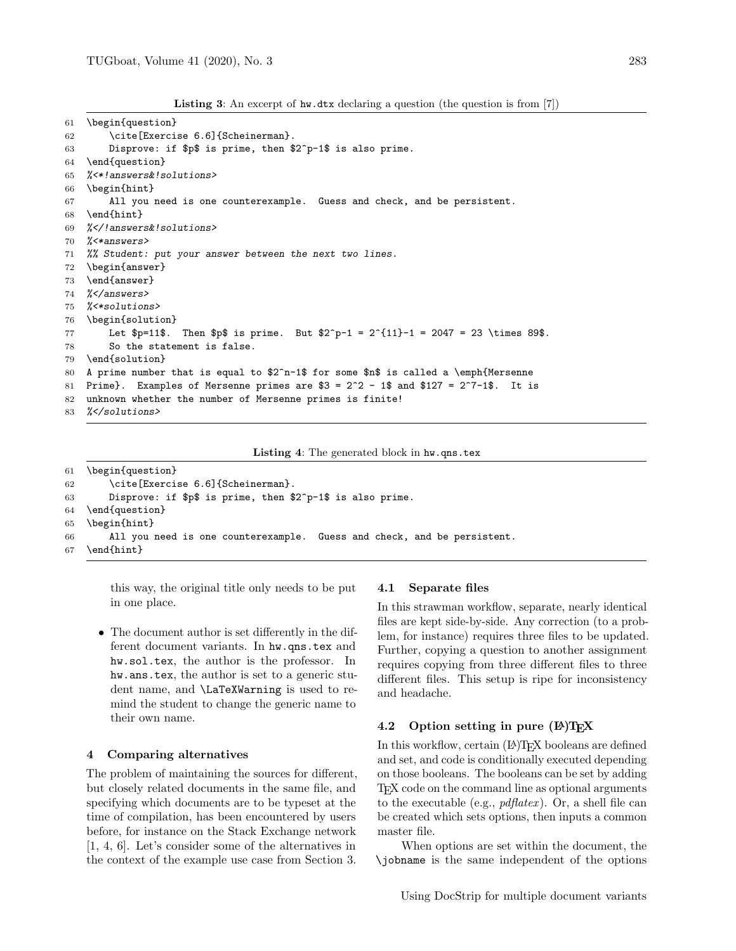Listing 3: An excerpt of hw.dtx declaring a question (the question is from [\[7\]](#page-4-1))

```
61 \begin{question}
62 \cite[Exercise 6.6]{Scheinerman}.
63 Disprove: if $p$ is prime, then $2^p-1$ is also prime.
64 \end{question}
65 %<*!answers&!solutions>
66 \begin{hint}
67 All you need is one counterexample. Guess and check, and be persistent.
68 \end{hint}
69 %</!answers&!solutions>
70 %<*answers>
71 %% Student: put your answer between the next two lines.
72 \begin{answer}
73 \end{answer}
74 %</answers>
75 %<*solutions>
76 \begin{solution}
77 Let p=11$. Then p$ is prime. But p^2 - 1 = 2^{11} - 1 = 2047 = 23 \times 89$.
78 So the statement is false.
79 \end{solution}
80 A prime number that is equal to $2^n-1$ for some $n$ is called a \emph{Mersenne
81 Prime}. Examples of Mersenne primes are $3 = 2^2 - 1$ and $127 = 2^7 - 1$. It is
82 unknown whether the number of Mersenne primes is finite!
83 %</solutions>
```
Listing 4: The generated block in hw.qns.tex

```
61 \begin{question}
62 \cite[Exercise 6.6]{Scheinerman}.
63 Disprove: if $p$ is prime, then $2^p-1$ is also prime.
64 \end{question}
65 \begin{hint}
66 All you need is one counterexample. Guess and check, and be persistent.
67 \end{hint}
```
this way, the original title only needs to be put in one place.

• The document author is set differently in the different document variants. In hw.qns.tex and hw.sol.tex, the author is the professor. In hw.ans.tex, the author is set to a generic student name, and \LaTeXWarning is used to remind the student to change the generic name to their own name.

### 4 Comparing alternatives

The problem of maintaining the sources for different, but closely related documents in the same file, and specifying which documents are to be typeset at the time of compilation, has been encountered by users before, for instance on the Stack Exchange network [\[1,](#page-4-2) [4,](#page-4-3) [6\]](#page-4-4). Let's consider some of the alternatives in the context of the example use case from Section [3.](#page-0-1)

#### 4.1 Separate files

In this strawman workflow, separate, nearly identical files are kept side-by-side. Any correction (to a problem, for instance) requires three files to be updated. Further, copying a question to another assignment requires copying from three different files to three different files. This setup is ripe for inconsistency and headache.

### 4.2 Option setting in pure  $(\mathbb{A})$ TEX

In this workflow, certain ( $L^2$ )TEX booleans are defined and set, and code is conditionally executed depending on those booleans. The booleans can be set by adding TEX code on the command line as optional arguments to the executable (e.g.,  $pdfater)$ ). Or, a shell file can be created which sets options, then inputs a common master file.

When options are set within the document, the \jobname is the same independent of the options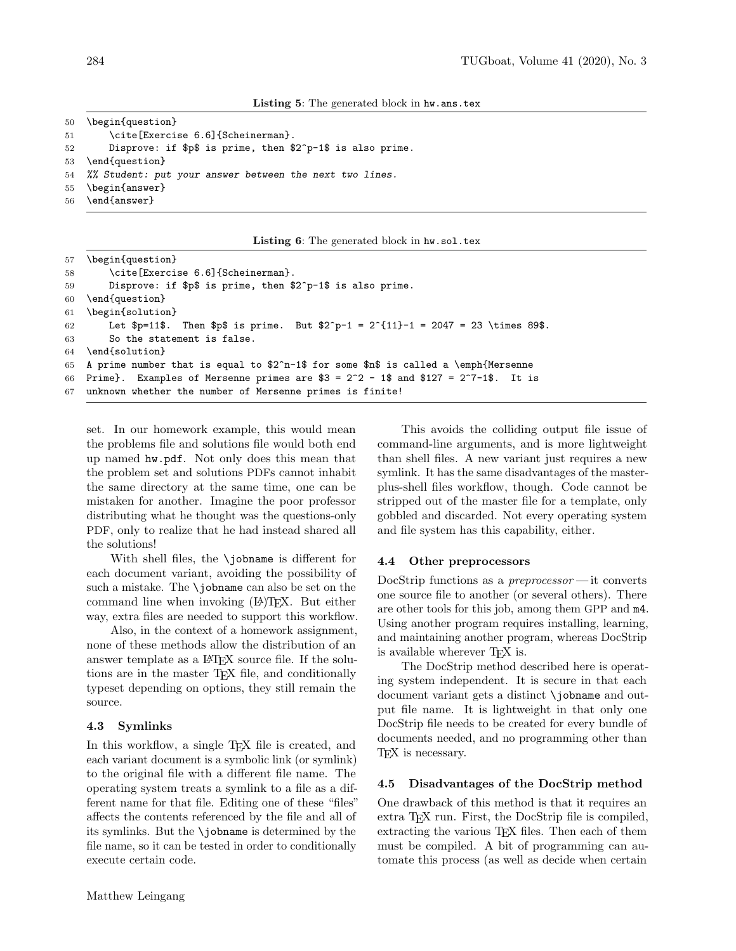```
50 \begin{question}
51 \cite[Exercise 6.6] {Scheinerman}.
52 Disprove: if $p$ is prime, then $2^p-1$ is also prime.
53 \end{question}
54 %% Student: put your answer between the next two lines.
55 \begin{answer}
56 \end{answer}
```

```
Listing 6: The generated block in hw.sol.tex
```

```
57 \begin{question}
58 \cite[Exercise 6.6]{Scheinerman}.
59 Disprove: if $p$ is prime, then $2^p-1$ is also prime.
60 \end{question}
61 \begin{solution}
62 Let p=11$. Then p$ is prime. But 2^p-1 = 2^{11}-1 = 2047 = 23 \times 89$.
63 So the statement is false.
64 \end{solution}
65 A prime number that is equal to 2^n-1 for some n is called a \emph{Mersenne
66 Prime}. Examples of Mersenne primes are $3 = 2^2 - 1$ and $127 = 2^7 - 1$. It is
67 unknown whether the number of Mersenne primes is finite!
```
set. In our homework example, this would mean the problems file and solutions file would both end up named hw.pdf. Not only does this mean that the problem set and solutions PDFs cannot inhabit the same directory at the same time, one can be mistaken for another. Imagine the poor professor distributing what he thought was the questions-only PDF, only to realize that he had instead shared all the solutions!

With shell files, the \jobname is different for each document variant, avoiding the possibility of such a mistake. The \jobname can also be set on the command line when invoking (LA)TEX. But either way, extra files are needed to support this workflow.

Also, in the context of a homework assignment, none of these methods allow the distribution of an answer template as a LAT<sub>F</sub>X source file. If the solutions are in the master T<sub>EX</sub> file, and conditionally typeset depending on options, they still remain the source.

#### 4.3 Symlinks

In this workflow, a single T<sub>E</sub>X file is created, and each variant document is a symbolic link (or symlink) to the original file with a different file name. The operating system treats a symlink to a file as a different name for that file. Editing one of these "files" affects the contents referenced by the file and all of its symlinks. But the \jobname is determined by the file name, so it can be tested in order to conditionally execute certain code.

This avoids the colliding output file issue of command-line arguments, and is more lightweight than shell files. A new variant just requires a new symlink. It has the same disadvantages of the masterplus-shell files workflow, though. Code cannot be stripped out of the master file for a template, only gobbled and discarded. Not every operating system and file system has this capability, either.

#### 4.4 Other preprocessors

DocStrip functions as a  $preprocessor$ —it converts one source file to another (or several others). There are other tools for this job, among them GPP and m4. Using another program requires installing, learning, and maintaining another program, whereas DocStrip is available wherever T<sub>FX</sub> is.

The DocStrip method described here is operating system independent. It is secure in that each document variant gets a distinct \jobname and output file name. It is lightweight in that only one DocStrip file needs to be created for every bundle of documents needed, and no programming other than T<sub>E</sub>X is necessary.

#### 4.5 Disadvantages of the DocStrip method

One drawback of this method is that it requires an extra T<sub>E</sub>X run. First, the DocStrip file is compiled, extracting the various TEX files. Then each of them must be compiled. A bit of programming can automate this process (as well as decide when certain